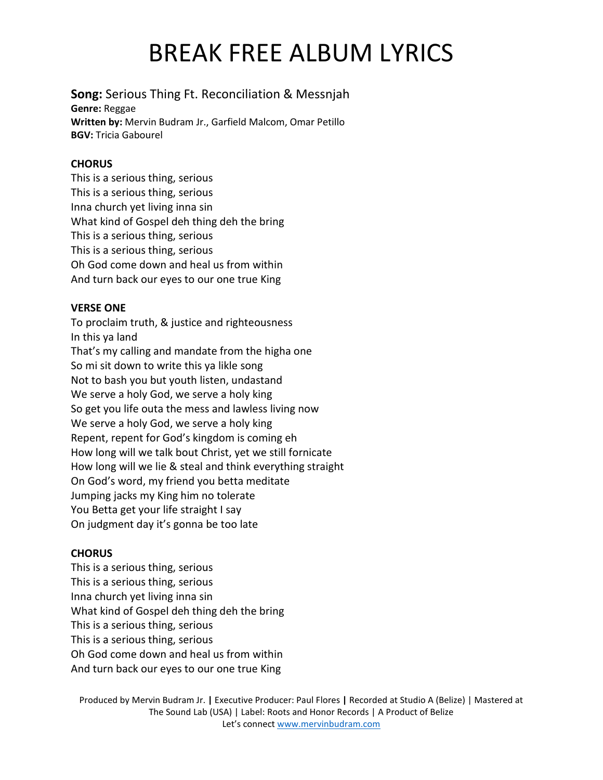# BREAK FREE ALBUM LYRICS

## **Song:** Serious Thing Ft. Reconciliation & Messnjah

**Genre:** Reggae **Written by:** Mervin Budram Jr., Garfield Malcom, Omar Petillo **BGV:** Tricia Gabourel

#### **CHORUS**

This is a serious thing, serious This is a serious thing, serious Inna church yet living inna sin What kind of Gospel deh thing deh the bring This is a serious thing, serious This is a serious thing, serious Oh God come down and heal us from within And turn back our eyes to our one true King

### **VERSE ONE**

To proclaim truth, & justice and righteousness In this ya land That's my calling and mandate from the higha one So mi sit down to write this ya likle song Not to bash you but youth listen, undastand We serve a holy God, we serve a holy king So get you life outa the mess and lawless living now We serve a holy God, we serve a holy king Repent, repent for God's kingdom is coming eh How long will we talk bout Christ, yet we still fornicate How long will we lie & steal and think everything straight On God's word, my friend you betta meditate Jumping jacks my King him no tolerate You Betta get your life straight I say On judgment day it's gonna be too late

### **CHORUS**

This is a serious thing, serious This is a serious thing, serious Inna church yet living inna sin What kind of Gospel deh thing deh the bring This is a serious thing, serious This is a serious thing, serious Oh God come down and heal us from within And turn back our eyes to our one true King

Produced by Mervin Budram Jr. **|** Executive Producer: Paul Flores **|** Recorded at Studio A (Belize) | Mastered at The Sound Lab (USA) | Label: Roots and Honor Records | A Product of Belize Let's connec[t www.mervinbudram.com](http://www.mervinbudram.com/)